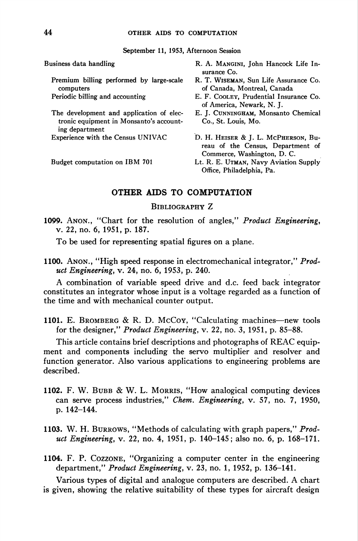September 11, 1953, Afternoon Session

Premium billing performed by large-scale R. T. Wiseman, Sun Life Assurance Co. computers of Canada, Montreal, Canada

The development and application of elec- E. J. CUNNINGHAM, Monsanto Chemical tronic equipment in Monsanto's account- Co., St. Louis, Mo. ing department

- Business data handling The R. A. MANGINI, John Hancock Life Insurance Co.
	-
	- Periodic billing and accounting E. F. Cooley, Prudential Insurance Co. of America, Newark, N. J.
		-
	- Experience with the Census UNIVAC D. H. HEISER & J. L. McPHERSON, Bureau of the Census, Department of Commerce, Washington, D. C.
	- Budget computation on IBM 701 Lt. R. E. UTMAN, Navy Aviation Supply Office, Philadelphia, Pa.

## OTHER AIDS TO COMPUTATION

## Bibliography Z

1099. Anon., "Chart for the resolution of angles," Product Engineering, v. 22, no. 6, 1951, p. 187.

To be used for representing spatial figures on a plane.

1100. Anon., "High speed response in electromechanical integrator," Product Engineering, v. 24, no. 6, 1953, p. 240.

A combination of variable speed drive and d.c feed back integrator constitutes an integrator whose input is a voltage regarded as a function of the time and with mechanical counter output.

1101. E. Bromberg & R. D. McCoy, "Calculating machines—new tools for the designer," Product Engineering, v. 22, no. 3, 1951, p. 85-88.

This article contains brief descriptions and photographs of REAC equipment and components including the servo multiplier and resolver and function generator. Also various applications to engineering problems are described.

- 1102. F. W. BUBB & W. L. MORRIS, "How analogical computing devices can serve process industries," Chem. Engineering, v. 57, no. 7, 1950, p. 142-144.
- 1103. W. H. BURROWS, "Methods of calculating with graph papers," Product Engineering, v. 22, no. 4, 1951, p. 140-145; also no. 6, p. 168-171.
- 1104. F. P. Cozzone, "Organizing a computer center in the engineering department," Product Engineering, v. 23, no. 1, 1952, p. 136-141.

Various types of digital and analogue computers are described. A chart is given, showing the relative suitability of these types for aircraft design